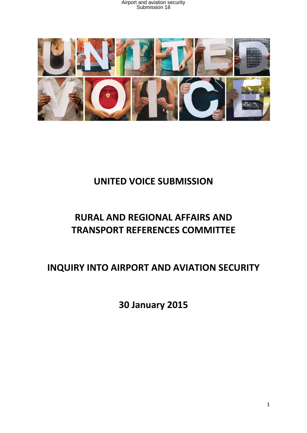

# **UNITED VOICE SUBMISSION**

# **RURAL AND REGIONAL AFFAIRS AND TRANSPORT REFERENCES COMMITTEE**

**INQUIRY INTO AIRPORT AND AVIATION SECURITY** 

**30 January 2015**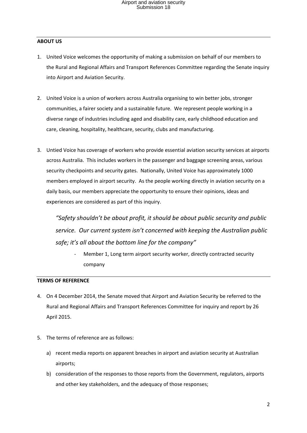#### **ABOUT US**

- 1. United Voice welcomes the opportunity of making a submission on behalf of our members to the Rural and Regional Affairs and Transport References Committee regarding the Senate inquiry into Airport and Aviation Security.
- 2. United Voice is a union of workers across Australia organising to win better jobs, stronger communities, a fairer society and a sustainable future. We represent people working in a diverse range of industries including aged and disability care, early childhood education and care, cleaning, hospitality, healthcare, security, clubs and manufacturing.
- 3. Untied Voice has coverage of workers who provide essential aviation security services at airports across Australia. This includes workers in the passenger and baggage screening areas, various security checkpoints and security gates. Nationally, United Voice has approximately 1000 members employed in airport security. As the people working directly in aviation security on a daily basis, our members appreciate the opportunity to ensure their opinions, ideas and experiences are considered as part of this inquiry.

*"Safety shouldn't be about profit, it should be about public security and public service. Our current system isn't concerned with keeping the Australian public safe; it's all about the bottom line for the company"* 

Member 1, Long term airport security worker, directly contracted security company

#### **TERMS OF REFERENCE**

- 4. On 4 December 2014, the Senate moved that Airport and Aviation Security be referred to the Rural and Regional Affairs and Transport References Committee for inquiry and report by 26 April 2015.
- 5. The terms of reference are as follows:
	- a) recent media reports on apparent breaches in airport and aviation security at Australian airports;
	- b) consideration of the responses to those reports from the Government, regulators, airports and other key stakeholders, and the adequacy of those responses;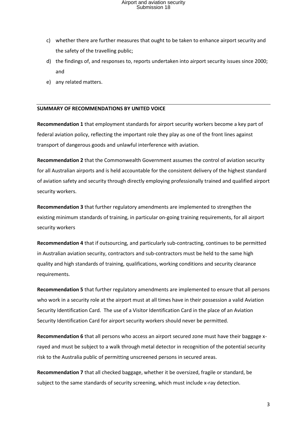- c) whether there are further measures that ought to be taken to enhance airport security and the safety of the travelling public;
- d) the findings of, and responses to, reports undertaken into airport security issues since 2000; and
- e) any related matters.

#### **SUMMARY OF RECOMMENDATIONS BY UNITED VOICE**

**Recommendation 1** that employment standards for airport security workers become a key part of federal aviation policy, reflecting the important role they play as one of the front lines against transport of dangerous goods and unlawful interference with aviation.

**Recommendation 2** that the Commonwealth Government assumes the control of aviation security for all Australian airports and is held accountable for the consistent delivery of the highest standard of aviation safety and security through directly employing professionally trained and qualified airport security workers.

**Recommendation 3** that further regulatory amendments are implemented to strengthen the existing minimum standards of training, in particular on-going training requirements, for all airport security workers

**Recommendation 4** that if outsourcing, and particularly sub-contracting, continues to be permitted in Australian aviation security, contractors and sub-contractors must be held to the same high quality and high standards of training, qualifications, working conditions and security clearance requirements.

**Recommendation 5** that further regulatory amendments are implemented to ensure that all persons who work in a security role at the airport must at all times have in their possession a valid Aviation Security Identification Card. The use of a Visitor Identification Card in the place of an Aviation Security Identification Card for airport security workers should never be permitted.

**Recommendation 6** that all persons who access an airport secured zone must have their baggage xrayed and must be subject to a walk through metal detector in recognition of the potential security risk to the Australia public of permitting unscreened persons in secured areas.

**Recommendation 7** that all checked baggage, whether it be oversized, fragile or standard, be subject to the same standards of security screening, which must include x-ray detection.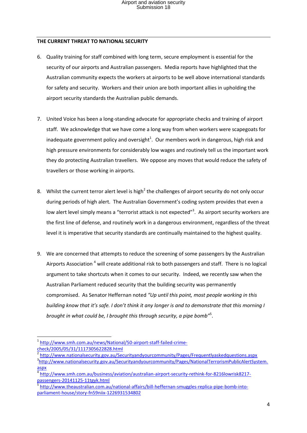#### **THE CURRENT THREAT TO NATIONAL SECURITY**

- 6. Quality training for staff combined with long term, secure employment is essential for the security of our airports and Australian passengers. Media reports have highlighted that the Australian community expects the workers at airports to be well above international standards for safety and security. Workers and their union are both important allies in upholding the airport security standards the Australian public demands.
- 7. United Voice has been a long-standing advocate for appropriate checks and training of airport staff. We acknowledge that we have come a long way from when workers were scapegoats for inadequate government policy and oversight<sup>1</sup>. Our members work in dangerous, high risk and high pressure environments for considerably low wages and routinely tell us the important work they do protecting Australian travellers. We oppose any moves that would reduce the safety of travellers or those working in airports.
- 8. Whilst the current terror alert level is high<sup>2</sup> the challenges of airport security do not only occur during periods of high alert. The Australian Government's coding system provides that even a low alert level simply means a "terrorist attack is not expected"<sup>3</sup>. As airport security workers are the first line of defense, and routinely work in a dangerous environment, regardless of the threat level it is imperative that security standards are continually maintained to the highest quality.
- 9. We are concerned that attempts to reduce the screening of some passengers by the Australian Airports Association<sup>4</sup> will create additional risk to both passengers and staff. There is no logical argument to take shortcuts when it comes to our security. Indeed, we recently saw when the Australian Parliament reduced security that the building security was permanently compromised. As Senator Heffernan noted *"Up until this point, most people working in this building know that it's safe. I don't think it any longer is and to demonstrate that this morning I brought in what could be, I brought this through security, a pipe bomb"*<sup>5</sup> .

**<sup>.</sup>** 1 [http://www.smh.com.au/news/National/50-airport-staff-failed-crime](http://www.smh.com.au/news/National/50-airport-staff-failed-crime-check/2005/05/31/1117305622828.html)[check/2005/05/31/1117305622828.html](http://www.smh.com.au/news/National/50-airport-staff-failed-crime-check/2005/05/31/1117305622828.html)

<sup>2</sup> <http://www.nationalsecurity.gov.au/Securityandyourcommunity/Pages/Frequentlyaskedquestions.aspx> 3 [http://www.nationalsecurity.gov.au/Securityandyourcommunity/Pages/NationalTerrorismPublicAlertSystem.](http://www.nationalsecurity.gov.au/Securityandyourcommunity/Pages/NationalTerrorismPublicAlertSystem.aspx) [aspx](http://www.nationalsecurity.gov.au/Securityandyourcommunity/Pages/NationalTerrorismPublicAlertSystem.aspx)

<sup>4</sup> [http://www.smh.com.au/business/aviation/australian-airport-security-rethink-for-8216lowrisk8217](http://www.smh.com.au/business/aviation/australian-airport-security-rethink-for-8216lowrisk8217-passengers-20141125-11tgyk.html) [passengers-20141125-11tgyk.html](http://www.smh.com.au/business/aviation/australian-airport-security-rethink-for-8216lowrisk8217-passengers-20141125-11tgyk.html)

<sup>5</sup> [http://www.theaustralian.com.au/national-affairs/bill-heffernan-smuggles-replica-pipe-bomb-into](http://www.theaustralian.com.au/national-affairs/bill-heffernan-smuggles-replica-pipe-bomb-into-parliament-house/story-fn59niix-1226931534802)[parliament-house/story-fn59niix-1226931534802](http://www.theaustralian.com.au/national-affairs/bill-heffernan-smuggles-replica-pipe-bomb-into-parliament-house/story-fn59niix-1226931534802)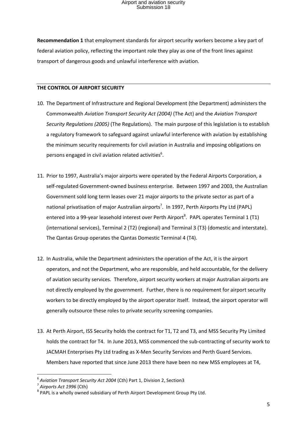**Recommendation 1** that employment standards for airport security workers become a key part of federal aviation policy, reflecting the important role they play as one of the front lines against transport of dangerous goods and unlawful interference with aviation.

#### **THE CONTROL OF AIRPORT SECURITY**

- 10. The Department of Infrastructure and Regional Development (the Department) administers the Commonwealth *Aviation Transport Security Act (2004)* (The Act) and the *Aviation Transport Security Regulations (2005)* (The Regulations). The main purpose of this legislation is to establish a regulatory framework to safeguard against unlawful interference with aviation by establishing the minimum security requirements for civil aviation in Australia and imposing obligations on persons engaged in civil aviation related activities $^{6}$ .
- 11. Prior to 1997, Australia's major airports were operated by the Federal Airports Corporation, a self-regulated Government-owned business enterprise. Between 1997 and 2003, the Australian Government sold long term leases over 21 major airports to the private sector as part of a national privatisation of major Australian airports<sup>7</sup>. In 1997, Perth Airports Pty Ltd (PAPL) entered into a 99-year leasehold interest over Perth Airport<sup>8</sup>. PAPL operates Terminal 1 (T1) (international services), Terminal 2 (T2) (regional) and Terminal 3 (T3) (domestic and interstate). The Qantas Group operates the Qantas Domestic Terminal 4 (T4).
- 12. In Australia, while the Department administers the operation of the Act, it is the airport operators, and not the Department, who are responsible, and held accountable, for the delivery of aviation security services. Therefore, airport security workers at major Australian airports are not directly employed by the government. Further, there is no requirement for airport security workers to be directly employed by the airport operator itself. Instead, the airport operator will generally outsource these roles to private security screening companies.
- 13. At Perth Airport, ISS Security holds the contract for T1, T2 and T3, and MSS Security Pty Limited holds the contract for T4. In June 2013, MSS commenced the sub-contracting of security work to JACMAH Enterprises Pty Ltd trading as X-Men Security Services and Perth Guard Services. Members have reported that since June 2013 there have been no new MSS employees at T4,

**.** 

<sup>6</sup> *Aviation Transport Security Act 2004* (Cth) Part 1, Division 2, Section3

<sup>7</sup> *Airports Act 1996* (Cth)

 $8$  PAPL is a wholly owned subsidiary of Perth Airport Development Group Pty Ltd.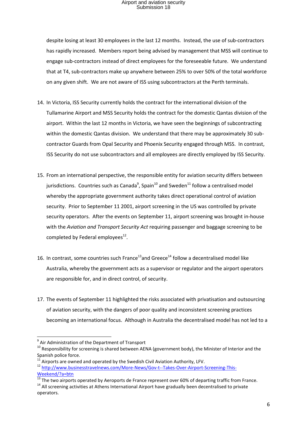despite losing at least 30 employees in the last 12 months. Instead, the use of sub-contractors has rapidly increased. Members report being advised by management that MSS will continue to engage sub-contractors instead of direct employees for the foreseeable future. We understand that at T4, sub-contractors make up anywhere between 25% to over 50% of the total workforce on any given shift. We are not aware of ISS using subcontractors at the Perth terminals.

- 14. In Victoria, ISS Security currently holds the contract for the international division of the Tullamarine Airport and MSS Security holds the contract for the domestic Qantas division of the airport. Within the last 12 months in Victoria, we have seen the beginnings of subcontracting within the domestic Qantas division. We understand that there may be approximately 30 subcontractor Guards from Opal Security and Phoenix Security engaged through MSS. In contrast, ISS Security do not use subcontractors and all employees are directly employed by ISS Security.
- 15. From an international perspective, the responsible entity for aviation security differs between jurisdictions. Countries such as Canada<sup>9</sup>, Spain<sup>10</sup> and Sweden<sup>11</sup> follow a centralised model whereby the appropriate government authority takes direct operational control of aviation security. Prior to September 11 2001, airport screening in the US was controlled by private security operators. After the events on September 11, airport screening was brought in-house with the *Aviation and Transport Security Act* requiring passenger and baggage screening to be completed by Federal employees $^{12}$ .
- 16. In contrast, some countries such France<sup>13</sup> and Greece<sup>14</sup> follow a decentralised model like Australia, whereby the government acts as a supervisor or regulator and the airport operators are responsible for, and in direct control, of security.
- 17. The events of September 11 highlighted the risks associated with privatisation and outsourcing of aviation security, with the dangers of poor quality and inconsistent screening practices becoming an international focus. Although in Australia the decentralised model has not led to a

 9 Air Administration of the Department of Transport

 $10$  Responsibility for screening is shared between AENA (government body), the Minister of Interior and the Spanish police force.

Airports are owned and operated by the Swedish Civil Aviation Authority, LFV.

<sup>12</sup> [http://www.businesstravelnews.com/More-News/Gov-t--Takes-Over-Airport-Screening-This-](http://www.businesstravelnews.com/More-News/Gov-t--Takes-Over-Airport-Screening-This-Weekend/?a=btn)[Weekend/?a=btn](http://www.businesstravelnews.com/More-News/Gov-t--Takes-Over-Airport-Screening-This-Weekend/?a=btn)

 $^{13}$  The two airports operated by Aeroports de France represent over 60% of departing traffic from France. <sup>14</sup> All screening activities at Athens International Airport have gradually been decentralised to private

operators.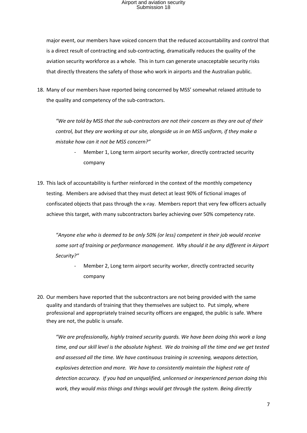major event, our members have voiced concern that the reduced accountability and control that is a direct result of contracting and sub-contracting, dramatically reduces the quality of the aviation security workforce as a whole. This in turn can generate unacceptable security risks that directly threatens the safety of those who work in airports and the Australian public.

18. Many of our members have reported being concerned by MSS' somewhat relaxed attitude to the quality and competency of the sub-contractors.

*"We are told by MSS that the sub-contractors are not their concern as they are out of their control, but they are working at our site, alongside us in an MSS uniform, if they make a mistake how can it not be MSS concern?"*

- Member 1, Long term airport security worker, directly contracted security company
- 19. This lack of accountability is further reinforced in the context of the monthly competency testing. Members are advised that they must detect at least 90% of fictional images of confiscated objects that pass through the x-ray. Members report that very few officers actually achieve this target, with many subcontractors barley achieving over 50% competency rate.

*"Anyone else who is deemed to be only 50% (or less) competent in their job would receive some sort of training or performance management. Why should it be any different in Airport Security?"* 

- Member 2, Long term airport security worker, directly contracted security company
- 20. Our members have reported that the subcontractors are not being provided with the same quality and standards of training that they themselves are subject to. Put simply, where professional and appropriately trained security officers are engaged, the public is safe. Where they are not, the public is unsafe.

*"We are professionally, highly trained security guards. We have been doing this work a long time, and our skill level is the absolute highest. We do training all the time and we get tested and assessed all the time. We have continuous training in screening, weapons detection, explosives detection and more. We have to consistently maintain the highest rate of detection accuracy. If you had an unqualified, unlicensed or inexperienced person doing this work, they would miss things and things would get through the system. Being directly*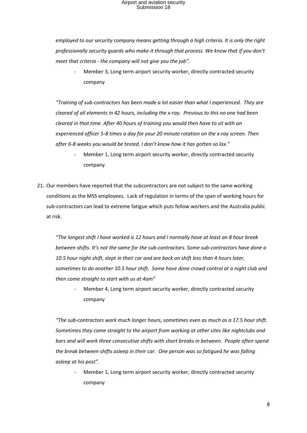*employed to our security company means getting through a high criteria. It is only the right professionally security guards who make it through that process. We know that if you don't meet that criteria - the company will not give you the job".* 

Member 3, Long term airport security worker, directly contracted security company

*"Training of sub-contractors has been made a lot easier than what I experienced. They are cleared of all elements in 42 hours, including the x-ray. Previous to this no one had been cleared in that time. After 40 hours of training you would then have to sit with an experienced officer 5-8 times a day for your 20 minute rotation on the x-ray screen. Then after 6-8 weeks you would be tested. I don't know how it has gotten so lax."*

- Member 1, Long term airport security worker, directly contracted security company
- 21. Our members have reported that the subcontractors are not subject to the same working conditions as the MSS employees. Lack of regulation in terms of the span of working hours for sub-contractors can lead to extreme fatigue which puts fellow workers and the Australia public at risk.

*"The longest shift I have worked is 12 hours and I normally have at least an 8 hour break between shifts. It's not the same for the sub-contractors. Some sub-contractors have done a 10.5 hour night shift, slept in their car and are back on shift less than 4 hours later, sometimes to do another 10.5 hour shift. Some have done crowd control at a night club and then come straight to start with us at 4am"*

Member 4, Long term airport security worker, directly contracted security company

*"The sub-contractors work much longer hours, sometimes even as much as a 17.5 hour shift. Sometimes they come straight to the airport from working at other sites like nightclubs and bars and will work three consecutive shifts with short breaks in between. People often spend the break between shifts asleep in their car. One person was so fatigued he was falling asleep at his post".* 

Member 1, Long term airport security worker, directly contracted security company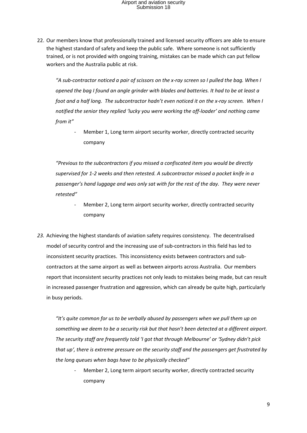22. Our members know that professionally trained and licensed security officers are able to ensure the highest standard of safety and keep the public safe. Where someone is not sufficiently trained, or is not provided with ongoing training, mistakes can be made which can put fellow workers and the Australia public at risk.

*"A sub-contractor noticed a pair of scissors on the x-ray screen so I pulled the bag. When I opened the bag I found an angle grinder with blades and batteries. It had to be at least a foot and a half long. The subcontractor hadn't even noticed it on the x-ray screen. When I notified the senior they replied 'lucky you were working the off-loader' and nothing came from it"* 

Member 1, Long term airport security worker, directly contracted security company

*"Previous to the subcontractors if you missed a confiscated item you would be directly supervised for 1-2 weeks and then retested. A subcontractor missed a pocket knife in a passenger's hand luggage and was only sat with for the rest of the day. They were never retested"*

- Member 2, Long term airport security worker, directly contracted security company
- *23.* Achieving the highest standards of aviation safety requires consistency. The decentralised model of security control and the increasing use of sub-contractors in this field has led to inconsistent security practices. This inconsistency exists between contractors and subcontractors at the same airport as well as between airports across Australia. Our members report that inconsistent security practices not only leads to mistakes being made, but can result in increased passenger frustration and aggression, which can already be quite high, particularly in busy periods.

*"It's quite common for us to be verbally abused by passengers when we pull them up on something we deem to be a security risk but that hasn't been detected at a different airport. The security staff are frequently told 'I got that through Melbourne' or 'Sydney didn't pick that up', there is extreme pressure on the security staff and the passengers get frustrated by the long queues when bags have to be physically checked"* 

Member 2, Long term airport security worker, directly contracted security company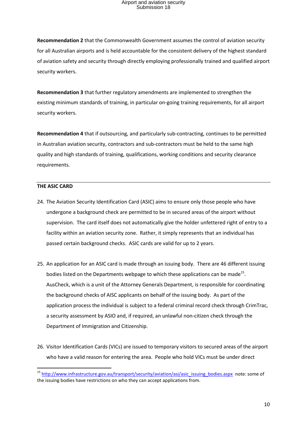**Recommendation 2** that the Commonwealth Government assumes the control of aviation security for all Australian airports and is held accountable for the consistent delivery of the highest standard of aviation safety and security through directly employing professionally trained and qualified airport security workers.

**Recommendation 3** that further regulatory amendments are implemented to strengthen the existing minimum standards of training, in particular on-going training requirements, for all airport security workers.

**Recommendation 4** that if outsourcing, and particularly sub-contracting, continues to be permitted in Australian aviation security, contractors and sub-contractors must be held to the same high quality and high standards of training, qualifications, working conditions and security clearance requirements.

#### **THE ASIC CARD**

**.** 

- 24. The Aviation Security Identification Card (ASIC) aims to ensure only those people who have undergone a background check are permitted to be in secured areas of the airport without supervision. The card itself does not automatically give the holder unfettered right of entry to a facility within an aviation security zone. Rather, it simply represents that an individual has passed certain background checks. ASIC cards are valid for up to 2 years.
- 25. An application for an ASIC card is made through an issuing body. There are 46 different issuing bodies listed on the Departments webpage to which these applications can be made<sup>15</sup>. AusCheck, which is a unit of the Attorney Generals Department, is responsible for coordinating the background checks of AISC applicants on behalf of the issuing body. As part of the application process the individual is subject to a federal criminal record check through CrimTrac, a security assessment by ASIO and, if required, an unlawful non-citizen check through the Department of Immigration and Citizenship.
- 26. Visitor Identification Cards (VICs) are issued to temporary visitors to secured areas of the airport who have a valid reason for entering the area. People who hold VICs must be under direct

<sup>&</sup>lt;sup>15</sup> [http://www.infrastructure.gov.au/transport/security/aviation/asi/asic\\_issuing\\_bodies.aspx](http://www.infrastructure.gov.au/transport/security/aviation/asi/asic_issuing_bodies.aspx) note: some of the issuing bodies have restrictions on who they can accept applications from.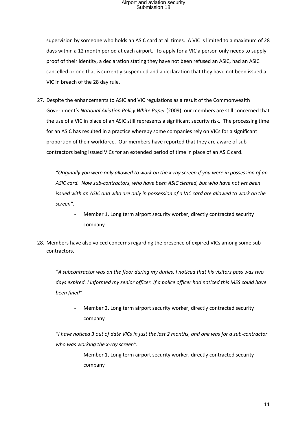supervision by someone who holds an ASIC card at all times. A VIC is limited to a maximum of 28 days within a 12 month period at each airport. To apply for a VIC a person only needs to supply proof of their identity, a declaration stating they have not been refused an ASIC, had an ASIC cancelled or one that is currently suspended and a declaration that they have not been issued a VIC in breach of the 28 day rule.

27. Despite the enhancements to ASIC and VIC regulations as a result of the Commonwealth Government's *National Aviation Policy White Paper* (2009), our members are still concerned that the use of a VIC in place of an ASIC still represents a significant security risk. The processing time for an ASIC has resulted in a practice whereby some companies rely on VICs for a significant proportion of their workforce. Our members have reported that they are aware of subcontractors being issued VICs for an extended period of time in place of an ASIC card.

*"Originally you were only allowed to work on the x-ray screen if you were in possession of an ASIC card. Now sub-contractors, who have been ASIC cleared, but who have not yet been issued with an ASIC and who are only in possession of a VIC card are allowed to work on the screen".*

- Member 1, Long term airport security worker, directly contracted security company
- 28. Members have also voiced concerns regarding the presence of expired VICs among some subcontractors.

*"A subcontractor was on the floor during my duties. I noticed that his visitors pass was two days expired. I informed my senior officer. If a police officer had noticed this MSS could have been fined"*

Member 2, Long term airport security worker, directly contracted security company

*"I have noticed 3 out of date VICs in just the last 2 months, and one was for a sub-contractor who was working the x-ray screen".* 

Member 1, Long term airport security worker, directly contracted security company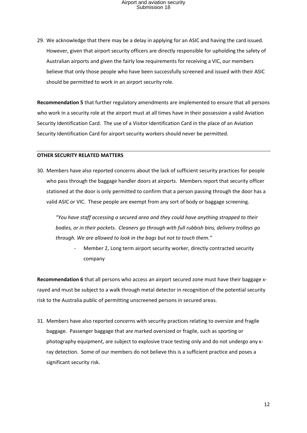29. We acknowledge that there may be a delay in applying for an ASIC and having the card issued. However, given that airport security officers are directly responsible for upholding the safety of Australian airports and given the fairly low requirements for receiving a VIC, our members believe that only those people who have been successfully screened and issued with their ASIC should be permitted to work in an airport security role.

**Recommendation 5** that further regulatory amendments are implemented to ensure that all persons who work in a security role at the airport must at all times have in their possession a valid Aviation Security Identification Card. The use of a Visitor Identification Card in the place of an Aviation Security Identification Card for airport security workers should never be permitted.

#### **OTHER SECURITY RELATED MATTERS**

30. Members have also reported concerns about the lack of sufficient security practices for people who pass through the baggage handler doors at airports. Members report that security officer stationed at the door is only permitted to confirm that a person passing through the door has a valid ASIC or VIC. These people are exempt from any sort of body or baggage screening.

*"You have staff accessing a secured area and they could have anything strapped to their bodies, or in their pockets. Cleaners go through with full rubbish bins, delivery trolleys go through. We are allowed to look in the bags but not to touch them."* 

> Member 2, Long term airport security worker, directly contracted security company

**Recommendation 6** that all persons who access an airport secured zone must have their baggage xrayed and must be subject to a walk through metal detector in recognition of the potential security risk to the Australia public of permitting unscreened persons in secured areas.

31. Members have also reported concerns with security practices relating to oversize and fragile baggage. Passenger baggage that are marked oversized or fragile, such as sporting or photography equipment, are subject to explosive trace testing only and do not undergo any xray detection. Some of our members do not believe this is a sufficient practice and poses a significant security risk.